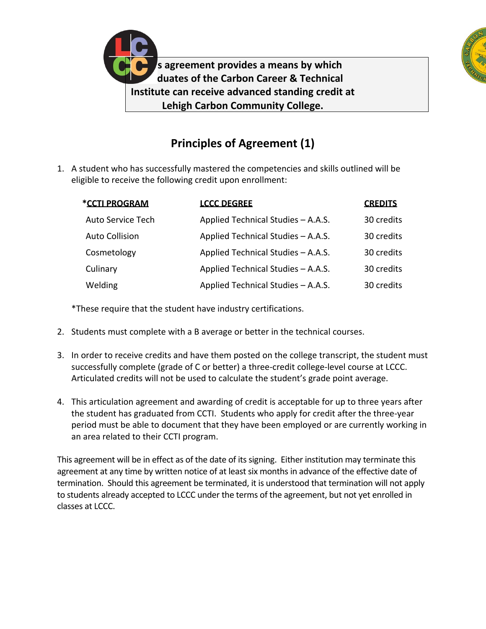



## **Principles of Agreement (1)**

1. A student who has successfully mastered the competencies and skills outlined will be eligible to receive the following credit upon enrollment:

| *CCTI PROGRAM         | <b>LCCC DEGREE</b>                 | <b>CREDITS</b> |
|-----------------------|------------------------------------|----------------|
| Auto Service Tech     | Applied Technical Studies - A.A.S. | 30 credits     |
| <b>Auto Collision</b> | Applied Technical Studies - A.A.S. | 30 credits     |
| Cosmetology           | Applied Technical Studies - A.A.S. | 30 credits     |
| Culinary              | Applied Technical Studies - A.A.S. | 30 credits     |
| Welding               | Applied Technical Studies - A.A.S. | 30 credits     |

\*These require that the student have industry certifications.

- 2. Students must complete with a B average or better in the technical courses.
- 3. In order to receive credits and have them posted on the college transcript, the student must successfully complete (grade of C or better) a three-credit college-level course at LCCC. Articulated credits will not be used to calculate the student's grade point average.
- 4. This articulation agreement and awarding of credit is acceptable for up to three years after the student has graduated from CCTI. Students who apply for credit after the three-year period must be able to document that they have been employed or are currently working in an area related to their CCTI program.

This agreement will be in effect as of the date of its signing. Either institution may terminate this agreement at any time by written notice of at least six months in advance of the effective date of termination. Should this agreement be terminated, it is understood that termination will not apply to students already accepted to LCCC under the terms of the agreement, but not yet enrolled in classes at LCCC.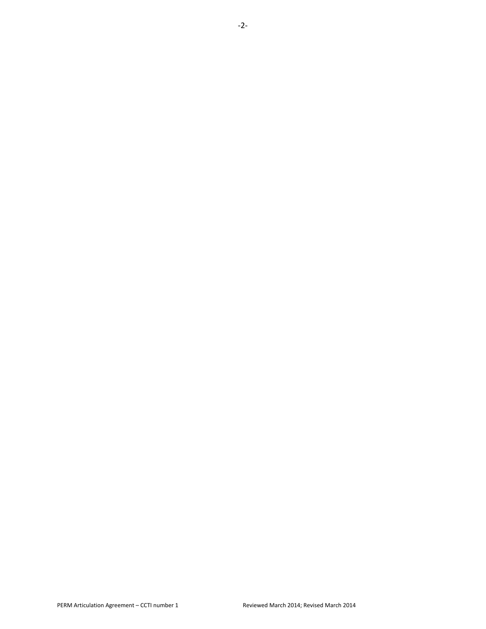